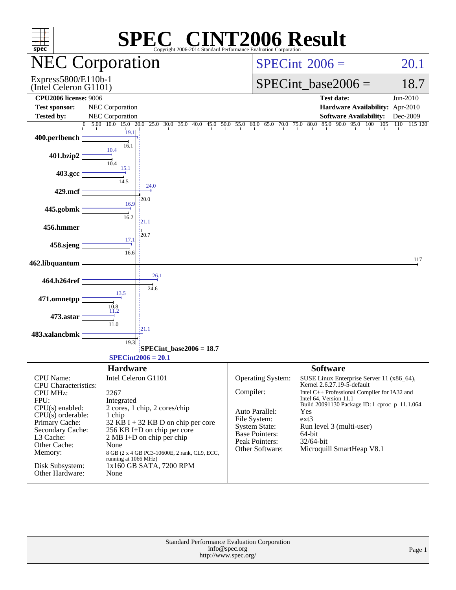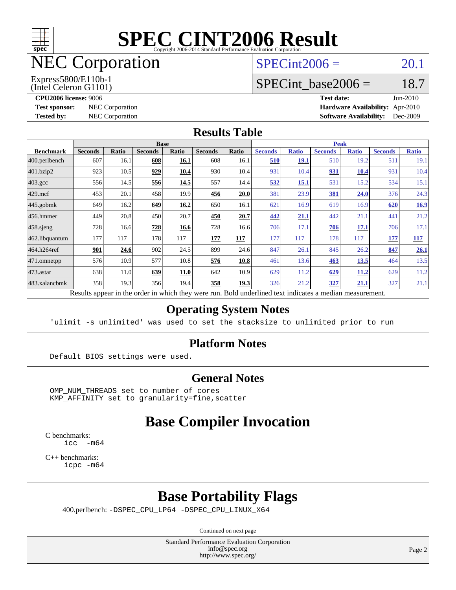

## NEC Corporation

 $SPECint2006 = 20.1$  $SPECint2006 = 20.1$ 

#### Express5800/E110b-1

(Intel Celeron G1101)

**[CPU2006 license:](http://www.spec.org/auto/cpu2006/Docs/result-fields.html#CPU2006license)** 9006 **[Test date:](http://www.spec.org/auto/cpu2006/Docs/result-fields.html#Testdate)** Jun-2010 **[Test sponsor:](http://www.spec.org/auto/cpu2006/Docs/result-fields.html#Testsponsor)** NEC Corporation **[Hardware Availability:](http://www.spec.org/auto/cpu2006/Docs/result-fields.html#HardwareAvailability)** Apr-2010 **[Tested by:](http://www.spec.org/auto/cpu2006/Docs/result-fields.html#Testedby)** NEC Corporation **[Software Availability:](http://www.spec.org/auto/cpu2006/Docs/result-fields.html#SoftwareAvailability)** Dec-2009

SPECint base2006 =  $18.7$ 

#### **[Results Table](http://www.spec.org/auto/cpu2006/Docs/result-fields.html#ResultsTable)**

|                                                                                                          | <b>Base</b>    |              |                |       |                |       |                | <b>Peak</b>  |                |              |                |              |  |
|----------------------------------------------------------------------------------------------------------|----------------|--------------|----------------|-------|----------------|-------|----------------|--------------|----------------|--------------|----------------|--------------|--|
| <b>Benchmark</b>                                                                                         | <b>Seconds</b> | <b>Ratio</b> | <b>Seconds</b> | Ratio | <b>Seconds</b> | Ratio | <b>Seconds</b> | <b>Ratio</b> | <b>Seconds</b> | <b>Ratio</b> | <b>Seconds</b> | <b>Ratio</b> |  |
| $ 400$ .perlbench                                                                                        | 607            | 16.1         | 608            | 16.1  | 608            | 16.1  | 510            | <u>19.1</u>  | 510            | 19.2         | 511            | 19.1         |  |
| 401.bzip2                                                                                                | 923            | 10.5         | 929            | 10.4  | 930            | 10.4  | 931            | 10.4         | 931            | 10.4         | 931            | 10.4         |  |
| $403.\mathrm{gcc}$                                                                                       | 556            | 14.5         | 556            | 14.5  | 557            | 14.4  | 532            | <u>15.1</u>  | 531            | 15.2         | 534            | 15.1         |  |
| $429$ .mcf                                                                                               | 453            | 20.1         | 458            | 19.9  | 456            | 20.0  | 381            | 23.9         | 381            | 24.0         | 376            | 24.3         |  |
| $445$ .gobmk                                                                                             | 649            | 16.2         | 649            | 16.2  | 650            | 16.1  | 621            | 16.9         | 619            | 16.9         | 620            | <u>16.9</u>  |  |
| $456.$ hmmer                                                                                             | 449            | 20.8         | 450            | 20.7  | 450            | 20.7  | 442            | 21.1         | 442            | 21.1         | 441            | 21.2         |  |
| $458$ .sjeng                                                                                             | 728            | 16.6         | 728            | 16.6  | 728            | 16.6  | 706            | 17.1         | 706            | 17.1         | 706            | 17.1         |  |
| 462.libquantum                                                                                           | 177            | 117          | 178            | 117   | 177            | 117   | 177            | 117          | 178            | 117          | 177            | <b>117</b>   |  |
| 464.h264ref                                                                                              | 901            | 24.6         | 902            | 24.5  | 899            | 24.6  | 847            | 26.1         | 845            | 26.2         | 847            | 26.1         |  |
| $ 471$ .omnetpp                                                                                          | 576            | 10.9         | 577            | 10.8  | 576            | 10.8  | 461            | 13.6         | 463            | 13.5         | 464            | 13.5         |  |
| $473.$ astar                                                                                             | 638            | 11.0         | 639            | 11.0  | 642            | 10.9  | 629            | 11.2         | 629            | 11.2         | 629            | 11.2         |  |
| 483.xalancbmk                                                                                            | 358            | 19.3         | 356            | 19.4  | 358            | 19.3  | 326            | 21.2         | 327            | 21.1         | 327            | 21.1         |  |
| Results appear in the order in which they were run. Bold underlined text indicates a median measurement. |                |              |                |       |                |       |                |              |                |              |                |              |  |

**[Operating System Notes](http://www.spec.org/auto/cpu2006/Docs/result-fields.html#OperatingSystemNotes)**

'ulimit -s unlimited' was used to set the stacksize to unlimited prior to run

#### **[Platform Notes](http://www.spec.org/auto/cpu2006/Docs/result-fields.html#PlatformNotes)**

Default BIOS settings were used.

#### **[General Notes](http://www.spec.org/auto/cpu2006/Docs/result-fields.html#GeneralNotes)**

 OMP\_NUM\_THREADS set to number of cores KMP\_AFFINITY set to granularity=fine,scatter

### **[Base Compiler Invocation](http://www.spec.org/auto/cpu2006/Docs/result-fields.html#BaseCompilerInvocation)**

[C benchmarks](http://www.spec.org/auto/cpu2006/Docs/result-fields.html#Cbenchmarks):  $\text{icc}$  -m64

[C++ benchmarks:](http://www.spec.org/auto/cpu2006/Docs/result-fields.html#CXXbenchmarks) [icpc -m64](http://www.spec.org/cpu2006/results/res2010q3/cpu2006-20100621-11779.flags.html#user_CXXbase_intel_icpc_64bit_fc66a5337ce925472a5c54ad6a0de310)

#### **[Base Portability Flags](http://www.spec.org/auto/cpu2006/Docs/result-fields.html#BasePortabilityFlags)**

400.perlbench: [-DSPEC\\_CPU\\_LP64](http://www.spec.org/cpu2006/results/res2010q3/cpu2006-20100621-11779.flags.html#b400.perlbench_basePORTABILITY_DSPEC_CPU_LP64) [-DSPEC\\_CPU\\_LINUX\\_X64](http://www.spec.org/cpu2006/results/res2010q3/cpu2006-20100621-11779.flags.html#b400.perlbench_baseCPORTABILITY_DSPEC_CPU_LINUX_X64)

Continued on next page

Standard Performance Evaluation Corporation [info@spec.org](mailto:info@spec.org) <http://www.spec.org/>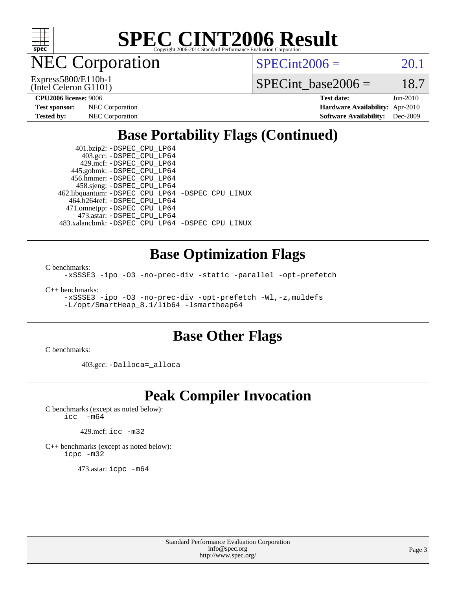

NEC Corporation

(Intel Celeron G1101) Express5800/E110b-1  $SPECint2006 = 20.1$  $SPECint2006 = 20.1$ 

SPECint base2006 =  $18.7$ 

| <b>Test sponsor:</b> | <b>NEC</b> Corporation |
|----------------------|------------------------|
| <b>Tested by:</b>    | <b>NEC</b> Corporation |

**[CPU2006 license:](http://www.spec.org/auto/cpu2006/Docs/result-fields.html#CPU2006license)** 9006 **[Test date:](http://www.spec.org/auto/cpu2006/Docs/result-fields.html#Testdate)** Jun-2010 **[Hardware Availability:](http://www.spec.org/auto/cpu2006/Docs/result-fields.html#HardwareAvailability)** Apr-2010 **[Software Availability:](http://www.spec.org/auto/cpu2006/Docs/result-fields.html#SoftwareAvailability)** Dec-2009

### **[Base Portability Flags \(Continued\)](http://www.spec.org/auto/cpu2006/Docs/result-fields.html#BasePortabilityFlags)**

 401.bzip2: [-DSPEC\\_CPU\\_LP64](http://www.spec.org/cpu2006/results/res2010q3/cpu2006-20100621-11779.flags.html#suite_basePORTABILITY401_bzip2_DSPEC_CPU_LP64) 403.gcc: [-DSPEC\\_CPU\\_LP64](http://www.spec.org/cpu2006/results/res2010q3/cpu2006-20100621-11779.flags.html#suite_basePORTABILITY403_gcc_DSPEC_CPU_LP64) 429.mcf: [-DSPEC\\_CPU\\_LP64](http://www.spec.org/cpu2006/results/res2010q3/cpu2006-20100621-11779.flags.html#suite_basePORTABILITY429_mcf_DSPEC_CPU_LP64) 445.gobmk: [-DSPEC\\_CPU\\_LP64](http://www.spec.org/cpu2006/results/res2010q3/cpu2006-20100621-11779.flags.html#suite_basePORTABILITY445_gobmk_DSPEC_CPU_LP64) 456.hmmer: [-DSPEC\\_CPU\\_LP64](http://www.spec.org/cpu2006/results/res2010q3/cpu2006-20100621-11779.flags.html#suite_basePORTABILITY456_hmmer_DSPEC_CPU_LP64) 458.sjeng: [-DSPEC\\_CPU\\_LP64](http://www.spec.org/cpu2006/results/res2010q3/cpu2006-20100621-11779.flags.html#suite_basePORTABILITY458_sjeng_DSPEC_CPU_LP64) 462.libquantum: [-DSPEC\\_CPU\\_LP64](http://www.spec.org/cpu2006/results/res2010q3/cpu2006-20100621-11779.flags.html#suite_basePORTABILITY462_libquantum_DSPEC_CPU_LP64) [-DSPEC\\_CPU\\_LINUX](http://www.spec.org/cpu2006/results/res2010q3/cpu2006-20100621-11779.flags.html#b462.libquantum_baseCPORTABILITY_DSPEC_CPU_LINUX) 464.h264ref: [-DSPEC\\_CPU\\_LP64](http://www.spec.org/cpu2006/results/res2010q3/cpu2006-20100621-11779.flags.html#suite_basePORTABILITY464_h264ref_DSPEC_CPU_LP64) 471.omnetpp: [-DSPEC\\_CPU\\_LP64](http://www.spec.org/cpu2006/results/res2010q3/cpu2006-20100621-11779.flags.html#suite_basePORTABILITY471_omnetpp_DSPEC_CPU_LP64) 473.astar: [-DSPEC\\_CPU\\_LP64](http://www.spec.org/cpu2006/results/res2010q3/cpu2006-20100621-11779.flags.html#suite_basePORTABILITY473_astar_DSPEC_CPU_LP64) 483.xalancbmk: [-DSPEC\\_CPU\\_LP64](http://www.spec.org/cpu2006/results/res2010q3/cpu2006-20100621-11779.flags.html#suite_basePORTABILITY483_xalancbmk_DSPEC_CPU_LP64) [-DSPEC\\_CPU\\_LINUX](http://www.spec.org/cpu2006/results/res2010q3/cpu2006-20100621-11779.flags.html#b483.xalancbmk_baseCXXPORTABILITY_DSPEC_CPU_LINUX)

#### **[Base Optimization Flags](http://www.spec.org/auto/cpu2006/Docs/result-fields.html#BaseOptimizationFlags)**

[C benchmarks](http://www.spec.org/auto/cpu2006/Docs/result-fields.html#Cbenchmarks):

[-xSSSE3](http://www.spec.org/cpu2006/results/res2010q3/cpu2006-20100621-11779.flags.html#user_CCbase_f-xSSSE3) [-ipo](http://www.spec.org/cpu2006/results/res2010q3/cpu2006-20100621-11779.flags.html#user_CCbase_f-ipo) [-O3](http://www.spec.org/cpu2006/results/res2010q3/cpu2006-20100621-11779.flags.html#user_CCbase_f-O3) [-no-prec-div](http://www.spec.org/cpu2006/results/res2010q3/cpu2006-20100621-11779.flags.html#user_CCbase_f-no-prec-div) [-static](http://www.spec.org/cpu2006/results/res2010q3/cpu2006-20100621-11779.flags.html#user_CCbase_f-static) [-parallel](http://www.spec.org/cpu2006/results/res2010q3/cpu2006-20100621-11779.flags.html#user_CCbase_f-parallel) [-opt-prefetch](http://www.spec.org/cpu2006/results/res2010q3/cpu2006-20100621-11779.flags.html#user_CCbase_f-opt-prefetch)

[C++ benchmarks:](http://www.spec.org/auto/cpu2006/Docs/result-fields.html#CXXbenchmarks)

[-xSSSE3](http://www.spec.org/cpu2006/results/res2010q3/cpu2006-20100621-11779.flags.html#user_CXXbase_f-xSSSE3) [-ipo](http://www.spec.org/cpu2006/results/res2010q3/cpu2006-20100621-11779.flags.html#user_CXXbase_f-ipo) [-O3](http://www.spec.org/cpu2006/results/res2010q3/cpu2006-20100621-11779.flags.html#user_CXXbase_f-O3) [-no-prec-div](http://www.spec.org/cpu2006/results/res2010q3/cpu2006-20100621-11779.flags.html#user_CXXbase_f-no-prec-div) [-opt-prefetch](http://www.spec.org/cpu2006/results/res2010q3/cpu2006-20100621-11779.flags.html#user_CXXbase_f-opt-prefetch) [-Wl,-z,muldefs](http://www.spec.org/cpu2006/results/res2010q3/cpu2006-20100621-11779.flags.html#user_CXXbase_link_force_multiple1_74079c344b956b9658436fd1b6dd3a8a) [-L/opt/SmartHeap\\_8.1/lib64 -lsmartheap64](http://www.spec.org/cpu2006/results/res2010q3/cpu2006-20100621-11779.flags.html#user_CXXbase_SmartHeap64_7ff9c3d8ca51c2767359d6aa2f519d77)

#### **[Base Other Flags](http://www.spec.org/auto/cpu2006/Docs/result-fields.html#BaseOtherFlags)**

[C benchmarks](http://www.spec.org/auto/cpu2006/Docs/result-fields.html#Cbenchmarks):

403.gcc: [-Dalloca=\\_alloca](http://www.spec.org/cpu2006/results/res2010q3/cpu2006-20100621-11779.flags.html#b403.gcc_baseEXTRA_CFLAGS_Dalloca_be3056838c12de2578596ca5467af7f3)

#### **[Peak Compiler Invocation](http://www.spec.org/auto/cpu2006/Docs/result-fields.html#PeakCompilerInvocation)**

[C benchmarks \(except as noted below\)](http://www.spec.org/auto/cpu2006/Docs/result-fields.html#Cbenchmarksexceptasnotedbelow):<br> $\frac{1}{2}$  cc  $-\text{m64}$  $-m64$ 

429.mcf: [icc -m32](http://www.spec.org/cpu2006/results/res2010q3/cpu2006-20100621-11779.flags.html#user_peakCCLD429_mcf_intel_icc_32bit_a6a621f8d50482236b970c6ac5f55f93)

[C++ benchmarks \(except as noted below\):](http://www.spec.org/auto/cpu2006/Docs/result-fields.html#CXXbenchmarksexceptasnotedbelow) [icpc -m32](http://www.spec.org/cpu2006/results/res2010q3/cpu2006-20100621-11779.flags.html#user_CXXpeak_intel_icpc_32bit_4e5a5ef1a53fd332b3c49e69c3330699)

473.astar: [icpc -m64](http://www.spec.org/cpu2006/results/res2010q3/cpu2006-20100621-11779.flags.html#user_peakCXXLD473_astar_intel_icpc_64bit_fc66a5337ce925472a5c54ad6a0de310)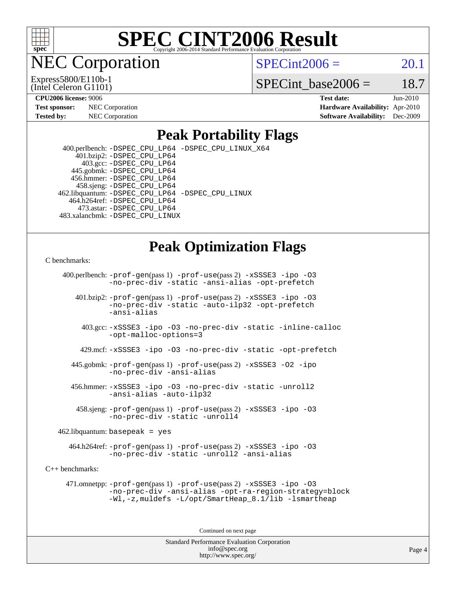

**EC Corporation** 

 $SPECint2006 = 20.1$  $SPECint2006 = 20.1$ 

(Intel Celeron G1101) Express5800/E110b-1 SPECint base2006 =  $18.7$ 

| <b>Test sponsor:</b> | <b>NEC</b> Corporation |
|----------------------|------------------------|
| <b>Tested by:</b>    | <b>NEC</b> Corporation |

**[CPU2006 license:](http://www.spec.org/auto/cpu2006/Docs/result-fields.html#CPU2006license)** 9006 **[Test date:](http://www.spec.org/auto/cpu2006/Docs/result-fields.html#Testdate)** Jun-2010 **[Hardware Availability:](http://www.spec.org/auto/cpu2006/Docs/result-fields.html#HardwareAvailability)** Apr-2010 **[Software Availability:](http://www.spec.org/auto/cpu2006/Docs/result-fields.html#SoftwareAvailability)** Dec-2009

#### **[Peak Portability Flags](http://www.spec.org/auto/cpu2006/Docs/result-fields.html#PeakPortabilityFlags)**

 400.perlbench: [-DSPEC\\_CPU\\_LP64](http://www.spec.org/cpu2006/results/res2010q3/cpu2006-20100621-11779.flags.html#b400.perlbench_peakPORTABILITY_DSPEC_CPU_LP64) [-DSPEC\\_CPU\\_LINUX\\_X64](http://www.spec.org/cpu2006/results/res2010q3/cpu2006-20100621-11779.flags.html#b400.perlbench_peakCPORTABILITY_DSPEC_CPU_LINUX_X64) 401.bzip2: [-DSPEC\\_CPU\\_LP64](http://www.spec.org/cpu2006/results/res2010q3/cpu2006-20100621-11779.flags.html#suite_peakPORTABILITY401_bzip2_DSPEC_CPU_LP64) 403.gcc: [-DSPEC\\_CPU\\_LP64](http://www.spec.org/cpu2006/results/res2010q3/cpu2006-20100621-11779.flags.html#suite_peakPORTABILITY403_gcc_DSPEC_CPU_LP64) 445.gobmk: [-DSPEC\\_CPU\\_LP64](http://www.spec.org/cpu2006/results/res2010q3/cpu2006-20100621-11779.flags.html#suite_peakPORTABILITY445_gobmk_DSPEC_CPU_LP64) 456.hmmer: [-DSPEC\\_CPU\\_LP64](http://www.spec.org/cpu2006/results/res2010q3/cpu2006-20100621-11779.flags.html#suite_peakPORTABILITY456_hmmer_DSPEC_CPU_LP64) 458.sjeng: [-DSPEC\\_CPU\\_LP64](http://www.spec.org/cpu2006/results/res2010q3/cpu2006-20100621-11779.flags.html#suite_peakPORTABILITY458_sjeng_DSPEC_CPU_LP64) 462.libquantum: [-DSPEC\\_CPU\\_LP64](http://www.spec.org/cpu2006/results/res2010q3/cpu2006-20100621-11779.flags.html#suite_peakPORTABILITY462_libquantum_DSPEC_CPU_LP64) [-DSPEC\\_CPU\\_LINUX](http://www.spec.org/cpu2006/results/res2010q3/cpu2006-20100621-11779.flags.html#b462.libquantum_peakCPORTABILITY_DSPEC_CPU_LINUX) 464.h264ref: [-DSPEC\\_CPU\\_LP64](http://www.spec.org/cpu2006/results/res2010q3/cpu2006-20100621-11779.flags.html#suite_peakPORTABILITY464_h264ref_DSPEC_CPU_LP64) 473.astar: [-DSPEC\\_CPU\\_LP64](http://www.spec.org/cpu2006/results/res2010q3/cpu2006-20100621-11779.flags.html#suite_peakPORTABILITY473_astar_DSPEC_CPU_LP64) 483.xalancbmk: [-DSPEC\\_CPU\\_LINUX](http://www.spec.org/cpu2006/results/res2010q3/cpu2006-20100621-11779.flags.html#b483.xalancbmk_peakCXXPORTABILITY_DSPEC_CPU_LINUX)

#### **[Peak Optimization Flags](http://www.spec.org/auto/cpu2006/Docs/result-fields.html#PeakOptimizationFlags)**

#### [C benchmarks](http://www.spec.org/auto/cpu2006/Docs/result-fields.html#Cbenchmarks):

 400.perlbench: [-prof-gen](http://www.spec.org/cpu2006/results/res2010q3/cpu2006-20100621-11779.flags.html#user_peakPASS1_CFLAGSPASS1_LDFLAGS400_perlbench_prof_gen_e43856698f6ca7b7e442dfd80e94a8fc)(pass 1) [-prof-use](http://www.spec.org/cpu2006/results/res2010q3/cpu2006-20100621-11779.flags.html#user_peakPASS2_CFLAGSPASS2_LDFLAGS400_perlbench_prof_use_bccf7792157ff70d64e32fe3e1250b55)(pass 2) [-xSSSE3](http://www.spec.org/cpu2006/results/res2010q3/cpu2006-20100621-11779.flags.html#user_peakCOPTIMIZE400_perlbench_f-xSSSE3) [-ipo](http://www.spec.org/cpu2006/results/res2010q3/cpu2006-20100621-11779.flags.html#user_peakCOPTIMIZE400_perlbench_f-ipo) [-O3](http://www.spec.org/cpu2006/results/res2010q3/cpu2006-20100621-11779.flags.html#user_peakCOPTIMIZE400_perlbench_f-O3) [-no-prec-div](http://www.spec.org/cpu2006/results/res2010q3/cpu2006-20100621-11779.flags.html#user_peakCOPTIMIZE400_perlbench_f-no-prec-div) [-static](http://www.spec.org/cpu2006/results/res2010q3/cpu2006-20100621-11779.flags.html#user_peakCOPTIMIZE400_perlbench_f-static) [-ansi-alias](http://www.spec.org/cpu2006/results/res2010q3/cpu2006-20100621-11779.flags.html#user_peakCOPTIMIZE400_perlbench_f-ansi-alias) [-opt-prefetch](http://www.spec.org/cpu2006/results/res2010q3/cpu2006-20100621-11779.flags.html#user_peakCOPTIMIZE400_perlbench_f-opt-prefetch)

 401.bzip2: [-prof-gen](http://www.spec.org/cpu2006/results/res2010q3/cpu2006-20100621-11779.flags.html#user_peakPASS1_CFLAGSPASS1_LDFLAGS401_bzip2_prof_gen_e43856698f6ca7b7e442dfd80e94a8fc)(pass 1) [-prof-use](http://www.spec.org/cpu2006/results/res2010q3/cpu2006-20100621-11779.flags.html#user_peakPASS2_CFLAGSPASS2_LDFLAGS401_bzip2_prof_use_bccf7792157ff70d64e32fe3e1250b55)(pass 2) [-xSSSE3](http://www.spec.org/cpu2006/results/res2010q3/cpu2006-20100621-11779.flags.html#user_peakCOPTIMIZE401_bzip2_f-xSSSE3) [-ipo](http://www.spec.org/cpu2006/results/res2010q3/cpu2006-20100621-11779.flags.html#user_peakCOPTIMIZE401_bzip2_f-ipo) [-O3](http://www.spec.org/cpu2006/results/res2010q3/cpu2006-20100621-11779.flags.html#user_peakCOPTIMIZE401_bzip2_f-O3) [-no-prec-div](http://www.spec.org/cpu2006/results/res2010q3/cpu2006-20100621-11779.flags.html#user_peakCOPTIMIZE401_bzip2_f-no-prec-div) [-static](http://www.spec.org/cpu2006/results/res2010q3/cpu2006-20100621-11779.flags.html#user_peakCOPTIMIZE401_bzip2_f-static) [-auto-ilp32](http://www.spec.org/cpu2006/results/res2010q3/cpu2006-20100621-11779.flags.html#user_peakCOPTIMIZE401_bzip2_f-auto-ilp32) [-opt-prefetch](http://www.spec.org/cpu2006/results/res2010q3/cpu2006-20100621-11779.flags.html#user_peakCOPTIMIZE401_bzip2_f-opt-prefetch) [-ansi-alias](http://www.spec.org/cpu2006/results/res2010q3/cpu2006-20100621-11779.flags.html#user_peakCOPTIMIZE401_bzip2_f-ansi-alias)

 403.gcc: [-xSSSE3](http://www.spec.org/cpu2006/results/res2010q3/cpu2006-20100621-11779.flags.html#user_peakCOPTIMIZE403_gcc_f-xSSSE3) [-ipo](http://www.spec.org/cpu2006/results/res2010q3/cpu2006-20100621-11779.flags.html#user_peakCOPTIMIZE403_gcc_f-ipo) [-O3](http://www.spec.org/cpu2006/results/res2010q3/cpu2006-20100621-11779.flags.html#user_peakCOPTIMIZE403_gcc_f-O3) [-no-prec-div](http://www.spec.org/cpu2006/results/res2010q3/cpu2006-20100621-11779.flags.html#user_peakCOPTIMIZE403_gcc_f-no-prec-div) [-static](http://www.spec.org/cpu2006/results/res2010q3/cpu2006-20100621-11779.flags.html#user_peakCOPTIMIZE403_gcc_f-static) [-inline-calloc](http://www.spec.org/cpu2006/results/res2010q3/cpu2006-20100621-11779.flags.html#user_peakCOPTIMIZE403_gcc_f-inline-calloc) [-opt-malloc-options=3](http://www.spec.org/cpu2006/results/res2010q3/cpu2006-20100621-11779.flags.html#user_peakCOPTIMIZE403_gcc_f-opt-malloc-options_13ab9b803cf986b4ee62f0a5998c2238)

429.mcf: [-xSSSE3](http://www.spec.org/cpu2006/results/res2010q3/cpu2006-20100621-11779.flags.html#user_peakCOPTIMIZE429_mcf_f-xSSSE3) [-ipo](http://www.spec.org/cpu2006/results/res2010q3/cpu2006-20100621-11779.flags.html#user_peakCOPTIMIZE429_mcf_f-ipo) [-O3](http://www.spec.org/cpu2006/results/res2010q3/cpu2006-20100621-11779.flags.html#user_peakCOPTIMIZE429_mcf_f-O3) [-no-prec-div](http://www.spec.org/cpu2006/results/res2010q3/cpu2006-20100621-11779.flags.html#user_peakCOPTIMIZE429_mcf_f-no-prec-div) [-static](http://www.spec.org/cpu2006/results/res2010q3/cpu2006-20100621-11779.flags.html#user_peakCOPTIMIZE429_mcf_f-static) [-opt-prefetch](http://www.spec.org/cpu2006/results/res2010q3/cpu2006-20100621-11779.flags.html#user_peakCOPTIMIZE429_mcf_f-opt-prefetch)

 445.gobmk: [-prof-gen](http://www.spec.org/cpu2006/results/res2010q3/cpu2006-20100621-11779.flags.html#user_peakPASS1_CFLAGSPASS1_LDFLAGS445_gobmk_prof_gen_e43856698f6ca7b7e442dfd80e94a8fc)(pass 1) [-prof-use](http://www.spec.org/cpu2006/results/res2010q3/cpu2006-20100621-11779.flags.html#user_peakPASS2_CFLAGSPASS2_LDFLAGS445_gobmk_prof_use_bccf7792157ff70d64e32fe3e1250b55)(pass 2) [-xSSSE3](http://www.spec.org/cpu2006/results/res2010q3/cpu2006-20100621-11779.flags.html#user_peakCOPTIMIZE445_gobmk_f-xSSSE3) [-O2](http://www.spec.org/cpu2006/results/res2010q3/cpu2006-20100621-11779.flags.html#user_peakCOPTIMIZE445_gobmk_f-O2) [-ipo](http://www.spec.org/cpu2006/results/res2010q3/cpu2006-20100621-11779.flags.html#user_peakCOPTIMIZE445_gobmk_f-ipo) [-no-prec-div](http://www.spec.org/cpu2006/results/res2010q3/cpu2006-20100621-11779.flags.html#user_peakCOPTIMIZE445_gobmk_f-no-prec-div) [-ansi-alias](http://www.spec.org/cpu2006/results/res2010q3/cpu2006-20100621-11779.flags.html#user_peakCOPTIMIZE445_gobmk_f-ansi-alias)

 456.hmmer: [-xSSSE3](http://www.spec.org/cpu2006/results/res2010q3/cpu2006-20100621-11779.flags.html#user_peakCOPTIMIZE456_hmmer_f-xSSSE3) [-ipo](http://www.spec.org/cpu2006/results/res2010q3/cpu2006-20100621-11779.flags.html#user_peakCOPTIMIZE456_hmmer_f-ipo) [-O3](http://www.spec.org/cpu2006/results/res2010q3/cpu2006-20100621-11779.flags.html#user_peakCOPTIMIZE456_hmmer_f-O3) [-no-prec-div](http://www.spec.org/cpu2006/results/res2010q3/cpu2006-20100621-11779.flags.html#user_peakCOPTIMIZE456_hmmer_f-no-prec-div) [-static](http://www.spec.org/cpu2006/results/res2010q3/cpu2006-20100621-11779.flags.html#user_peakCOPTIMIZE456_hmmer_f-static) [-unroll2](http://www.spec.org/cpu2006/results/res2010q3/cpu2006-20100621-11779.flags.html#user_peakCOPTIMIZE456_hmmer_f-unroll_784dae83bebfb236979b41d2422d7ec2) [-ansi-alias](http://www.spec.org/cpu2006/results/res2010q3/cpu2006-20100621-11779.flags.html#user_peakCOPTIMIZE456_hmmer_f-ansi-alias) [-auto-ilp32](http://www.spec.org/cpu2006/results/res2010q3/cpu2006-20100621-11779.flags.html#user_peakCOPTIMIZE456_hmmer_f-auto-ilp32)

 458.sjeng: [-prof-gen](http://www.spec.org/cpu2006/results/res2010q3/cpu2006-20100621-11779.flags.html#user_peakPASS1_CFLAGSPASS1_LDFLAGS458_sjeng_prof_gen_e43856698f6ca7b7e442dfd80e94a8fc)(pass 1) [-prof-use](http://www.spec.org/cpu2006/results/res2010q3/cpu2006-20100621-11779.flags.html#user_peakPASS2_CFLAGSPASS2_LDFLAGS458_sjeng_prof_use_bccf7792157ff70d64e32fe3e1250b55)(pass 2) [-xSSSE3](http://www.spec.org/cpu2006/results/res2010q3/cpu2006-20100621-11779.flags.html#user_peakCOPTIMIZE458_sjeng_f-xSSSE3) [-ipo](http://www.spec.org/cpu2006/results/res2010q3/cpu2006-20100621-11779.flags.html#user_peakCOPTIMIZE458_sjeng_f-ipo) [-O3](http://www.spec.org/cpu2006/results/res2010q3/cpu2006-20100621-11779.flags.html#user_peakCOPTIMIZE458_sjeng_f-O3) [-no-prec-div](http://www.spec.org/cpu2006/results/res2010q3/cpu2006-20100621-11779.flags.html#user_peakCOPTIMIZE458_sjeng_f-no-prec-div) [-static](http://www.spec.org/cpu2006/results/res2010q3/cpu2006-20100621-11779.flags.html#user_peakCOPTIMIZE458_sjeng_f-static) [-unroll4](http://www.spec.org/cpu2006/results/res2010q3/cpu2006-20100621-11779.flags.html#user_peakCOPTIMIZE458_sjeng_f-unroll_4e5e4ed65b7fd20bdcd365bec371b81f)

462.libquantum: basepeak = yes

 464.h264ref: [-prof-gen](http://www.spec.org/cpu2006/results/res2010q3/cpu2006-20100621-11779.flags.html#user_peakPASS1_CFLAGSPASS1_LDFLAGS464_h264ref_prof_gen_e43856698f6ca7b7e442dfd80e94a8fc)(pass 1) [-prof-use](http://www.spec.org/cpu2006/results/res2010q3/cpu2006-20100621-11779.flags.html#user_peakPASS2_CFLAGSPASS2_LDFLAGS464_h264ref_prof_use_bccf7792157ff70d64e32fe3e1250b55)(pass 2) [-xSSSE3](http://www.spec.org/cpu2006/results/res2010q3/cpu2006-20100621-11779.flags.html#user_peakCOPTIMIZE464_h264ref_f-xSSSE3) [-ipo](http://www.spec.org/cpu2006/results/res2010q3/cpu2006-20100621-11779.flags.html#user_peakCOPTIMIZE464_h264ref_f-ipo) [-O3](http://www.spec.org/cpu2006/results/res2010q3/cpu2006-20100621-11779.flags.html#user_peakCOPTIMIZE464_h264ref_f-O3) [-no-prec-div](http://www.spec.org/cpu2006/results/res2010q3/cpu2006-20100621-11779.flags.html#user_peakCOPTIMIZE464_h264ref_f-no-prec-div) [-static](http://www.spec.org/cpu2006/results/res2010q3/cpu2006-20100621-11779.flags.html#user_peakCOPTIMIZE464_h264ref_f-static) [-unroll2](http://www.spec.org/cpu2006/results/res2010q3/cpu2006-20100621-11779.flags.html#user_peakCOPTIMIZE464_h264ref_f-unroll_784dae83bebfb236979b41d2422d7ec2) [-ansi-alias](http://www.spec.org/cpu2006/results/res2010q3/cpu2006-20100621-11779.flags.html#user_peakCOPTIMIZE464_h264ref_f-ansi-alias)

[C++ benchmarks:](http://www.spec.org/auto/cpu2006/Docs/result-fields.html#CXXbenchmarks)

 471.omnetpp: [-prof-gen](http://www.spec.org/cpu2006/results/res2010q3/cpu2006-20100621-11779.flags.html#user_peakPASS1_CXXFLAGSPASS1_LDFLAGS471_omnetpp_prof_gen_e43856698f6ca7b7e442dfd80e94a8fc)(pass 1) [-prof-use](http://www.spec.org/cpu2006/results/res2010q3/cpu2006-20100621-11779.flags.html#user_peakPASS2_CXXFLAGSPASS2_LDFLAGS471_omnetpp_prof_use_bccf7792157ff70d64e32fe3e1250b55)(pass 2) [-xSSSE3](http://www.spec.org/cpu2006/results/res2010q3/cpu2006-20100621-11779.flags.html#user_peakCXXOPTIMIZE471_omnetpp_f-xSSSE3) [-ipo](http://www.spec.org/cpu2006/results/res2010q3/cpu2006-20100621-11779.flags.html#user_peakCXXOPTIMIZE471_omnetpp_f-ipo) [-O3](http://www.spec.org/cpu2006/results/res2010q3/cpu2006-20100621-11779.flags.html#user_peakCXXOPTIMIZE471_omnetpp_f-O3) [-no-prec-div](http://www.spec.org/cpu2006/results/res2010q3/cpu2006-20100621-11779.flags.html#user_peakCXXOPTIMIZE471_omnetpp_f-no-prec-div) [-ansi-alias](http://www.spec.org/cpu2006/results/res2010q3/cpu2006-20100621-11779.flags.html#user_peakCXXOPTIMIZE471_omnetpp_f-ansi-alias) [-opt-ra-region-strategy=block](http://www.spec.org/cpu2006/results/res2010q3/cpu2006-20100621-11779.flags.html#user_peakCXXOPTIMIZE471_omnetpp_f-opt-ra-region-strategy-block_a0a37c372d03933b2a18d4af463c1f69) [-Wl,-z,muldefs](http://www.spec.org/cpu2006/results/res2010q3/cpu2006-20100621-11779.flags.html#user_peakEXTRA_LDFLAGS471_omnetpp_link_force_multiple1_74079c344b956b9658436fd1b6dd3a8a) [-L/opt/SmartHeap\\_8.1/lib -lsmartheap](http://www.spec.org/cpu2006/results/res2010q3/cpu2006-20100621-11779.flags.html#user_peakEXTRA_LIBS471_omnetpp_SmartHeap_d5ba4dfc9de25d3c657c7de7476e66c5)

Continued on next page

Standard Performance Evaluation Corporation [info@spec.org](mailto:info@spec.org) <http://www.spec.org/>